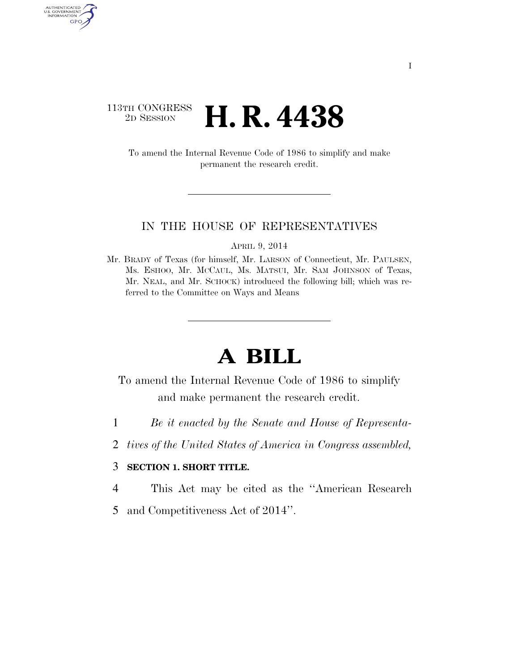## $\begin{array}{c} \textbf{113TH CONGRESS} \\ \textbf{2D} \textbf{Session} \end{array}$ 2D SESSION **H. R. 4438**

AUTHENTICATED<br>U.S. GOVERNMENT<br>INFORMATION

GPO

To amend the Internal Revenue Code of 1986 to simplify and make permanent the research credit.

## IN THE HOUSE OF REPRESENTATIVES

APRIL 9, 2014

Mr. BRADY of Texas (for himself, Mr. LARSON of Connecticut, Mr. PAULSEN, Ms. ESHOO, Mr. MCCAUL, Ms. MATSUI, Mr. SAM JOHNSON of Texas, Mr. NEAL, and Mr. SCHOCK) introduced the following bill; which was referred to the Committee on Ways and Means

## **A BILL**

To amend the Internal Revenue Code of 1986 to simplify and make permanent the research credit.

- 1 *Be it enacted by the Senate and House of Representa-*
- 2 *tives of the United States of America in Congress assembled,*

## 3 **SECTION 1. SHORT TITLE.**

- 4 This Act may be cited as the ''American Research
- 5 and Competitiveness Act of 2014''.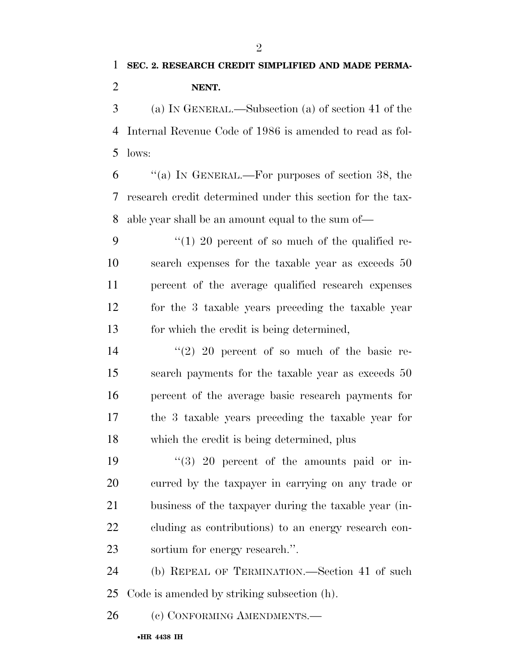$\mathfrak{D}$ 

 (a) IN GENERAL.—Subsection (a) of section 41 of the Internal Revenue Code of 1986 is amended to read as fol-lows:

 ''(a) IN GENERAL.—For purposes of section 38, the research credit determined under this section for the tax-able year shall be an amount equal to the sum of—

 $\frac{4}{1}$  20 percent of so much of the qualified re- search expenses for the taxable year as exceeds 50 percent of the average qualified research expenses for the 3 taxable years preceding the taxable year for which the credit is being determined,

14 ''(2) 20 percent of so much of the basic re- search payments for the taxable year as exceeds 50 percent of the average basic research payments for the 3 taxable years preceding the taxable year for which the credit is being determined, plus

 $(3)$  20 percent of the amounts paid or in- curred by the taxpayer in carrying on any trade or business of the taxpayer during the taxable year (in- cluding as contributions) to an energy research con-sortium for energy research.''.

 (b) REPEAL OF TERMINATION.—Section 41 of such Code is amended by striking subsection (h).

26 (c) CONFORMING AMENDMENTS.—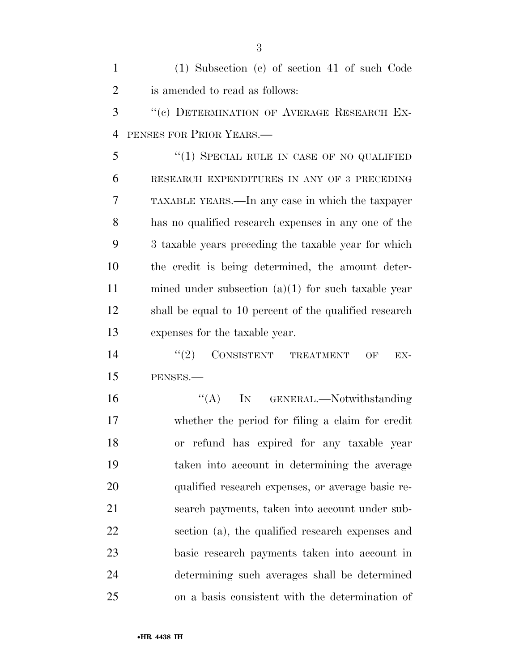(1) Subsection (c) of section 41 of such Code is amended to read as follows: 3 "(c) DETERMINATION OF AVERAGE RESEARCH EX- PENSES FOR PRIOR YEARS.— 5 "(1) SPECIAL RULE IN CASE OF NO QUALIFIED RESEARCH EXPENDITURES IN ANY OF 3 PRECEDING TAXABLE YEARS.—In any case in which the taxpayer has no qualified research expenses in any one of the 3 taxable years preceding the taxable year for which the credit is being determined, the amount deter- mined under subsection (a)(1) for such taxable year shall be equal to 10 percent of the qualified research expenses for the taxable year.  $(2)$  CONSISTENT TREATMENT OF EX- PENSES.— 16 "(A) IN GENERAL.—Notwithstanding whether the period for filing a claim for credit or refund has expired for any taxable year taken into account in determining the average qualified research expenses, or average basic re- search payments, taken into account under sub- section (a), the qualified research expenses and basic research payments taken into account in determining such averages shall be determined on a basis consistent with the determination of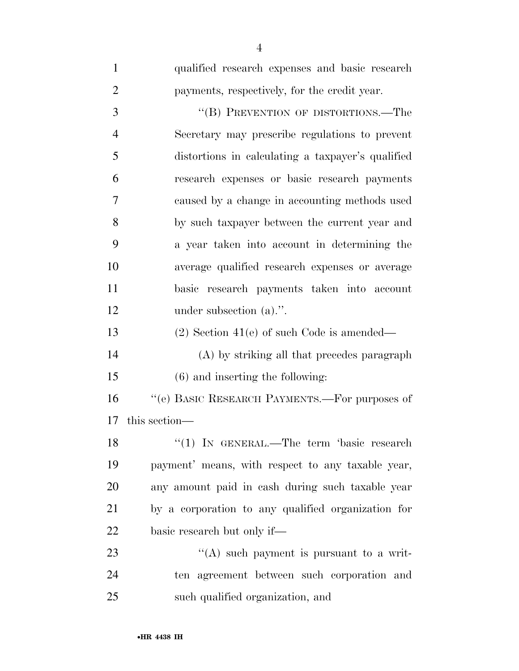| $\mathbf{1}$   | qualified research expenses and basic research     |
|----------------|----------------------------------------------------|
| $\overline{2}$ | payments, respectively, for the credit year.       |
| 3              | "(B) PREVENTION OF DISTORTIONS.—The                |
| 4              | Secretary may prescribe regulations to prevent     |
| 5              | distortions in calculating a taxpayer's qualified  |
| 6              | research expenses or basic research payments       |
| 7              | caused by a change in accounting methods used      |
| 8              | by such taxpayer between the current year and      |
| 9              | a year taken into account in determining the       |
| 10             | average qualified research expenses or average     |
| 11             | basic research payments taken into account         |
| 12             | under subsection $(a)$ .".                         |
| 13             | $(2)$ Section 41(e) of such Code is amended—       |
| 14             | (A) by striking all that precedes paragraph        |
| 15             | $(6)$ and inserting the following:                 |
| 16             | "(e) BASIC RESEARCH PAYMENTS.—For purposes of      |
| 17             | this section—                                      |
| 18             | "(1) IN GENERAL.—The term 'basic research          |
| 19             | payment' means, with respect to any taxable year,  |
| 20             | any amount paid in eash during such taxable year   |
| 21             | by a corporation to any qualified organization for |
| 22             | basic research but only if—                        |
| 23             | "(A) such payment is pursuant to a writ-           |
| 24             | ten agreement between such corporation and         |
| 25             | such qualified organization, and                   |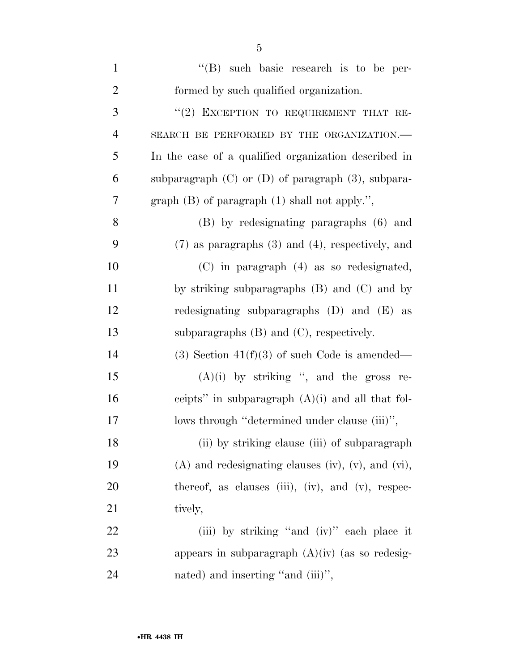| $\mathbf{1}$   | $\lq\lq(B)$ such basic research is to be per-              |
|----------------|------------------------------------------------------------|
| $\overline{2}$ | formed by such qualified organization.                     |
| 3              | "(2) EXCEPTION TO REQUIREMENT THAT RE-                     |
| $\overline{4}$ | SEARCH BE PERFORMED BY THE ORGANIZATION.-                  |
| 5              | In the case of a qualified organization described in       |
| 6              | subparagraph $(C)$ or $(D)$ of paragraph $(3)$ , subpara-  |
| 7              | graph $(B)$ of paragraph $(1)$ shall not apply.",          |
| 8              | (B) by redesignating paragraphs (6) and                    |
| 9              | $(7)$ as paragraphs $(3)$ and $(4)$ , respectively, and    |
| 10             | $(C)$ in paragraph $(4)$ as so redesignated,               |
| 11             | by striking subparagraphs $(B)$ and $(C)$ and by           |
| 12             | redesignating subparagraphs $(D)$ and $(E)$ as             |
| 13             | subparagraphs $(B)$ and $(C)$ , respectively.              |
| 14             | $(3)$ Section 41(f)(3) of such Code is amended—            |
| 15             | $(A)(i)$ by striking ", and the gross re-                  |
| 16             | ceipts" in subparagraph $(A)(i)$ and all that fol-         |
| 17             | lows through "determined under clause (iii)",              |
| 18             | (ii) by striking clause (iii) of subparagraph              |
| 19             | $(A)$ and redesignating clauses (iv), (v), and (vi),       |
| 20             | thereof, as clauses $(iii)$ , $(iv)$ , and $(v)$ , respec- |
| 21             | tively,                                                    |
| 22             | (iii) by striking "and (iv)" each place it                 |
| 23             | appears in subparagraph $(A)(iv)$ (as so redesig-          |
| 24             | nated) and inserting "and (iii)",                          |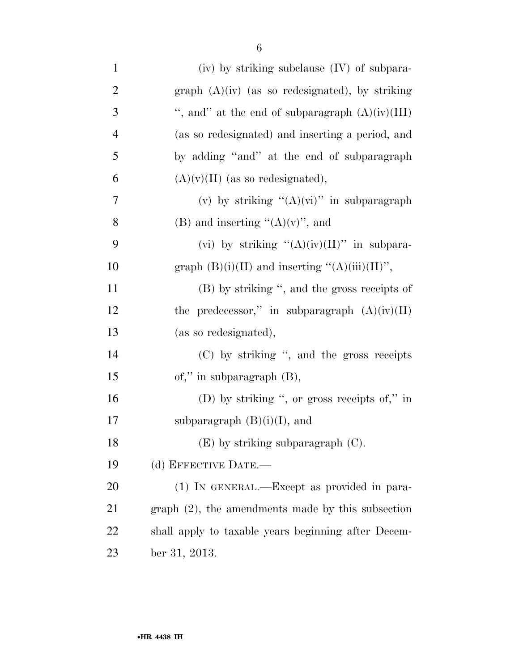| $\mathbf{1}$   | (iv) by striking subclause (IV) of subpara-          |
|----------------|------------------------------------------------------|
| $\overline{2}$ | graph $(A)(iv)$ (as so redesignated), by striking    |
| 3              | ", and" at the end of subparagraph $(A)(iv)(III)$    |
| $\overline{4}$ | (as so redesignated) and inserting a period, and     |
| 5              | by adding "and" at the end of subparagraph           |
| 6              | $(A)(v)(II)$ (as so redesignated),                   |
| 7              | (v) by striking " $(A)(vi)$ " in subparagraph        |
| 8              | (B) and inserting " $(A)(v)$ ", and                  |
| 9              | (vi) by striking " $(A)(iv)(II)$ " in subpara-       |
| 10             | graph $(B)(i)(II)$ and inserting " $(A)(iii)(II)$ ", |
| 11             | (B) by striking ", and the gross receipts of         |
| 12             | the predecessor," in subparagraph $(A)(iv)(II)$      |
| 13             | (as so redesignated),                                |
| 14             | (C) by striking ", and the gross receipts            |
| 15             | of," in subparagraph $(B)$ ,                         |
| 16             | (D) by striking ", or gross receipts of," in         |
| $17\,$         | subparagraph $(B)(i)(I)$ , and                       |
| 18             | $(E)$ by striking subparagraph $(C)$ .               |
| 19             | (d) EFFECTIVE DATE.-                                 |
| 20             | (1) IN GENERAL.—Except as provided in para-          |
| 21             | $graph(2)$ , the amendments made by this subsection  |
| 22             | shall apply to taxable years beginning after Decem-  |
| 23             | ber 31, 2013.                                        |